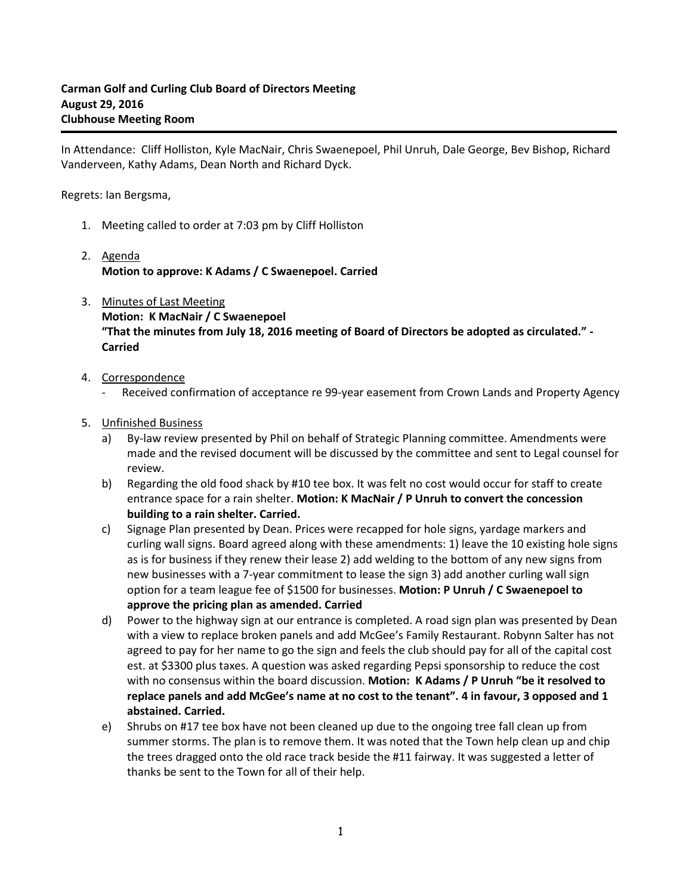In Attendance: Cliff Holliston, Kyle MacNair, Chris Swaenepoel, Phil Unruh, Dale George, Bev Bishop, Richard Vanderveen, Kathy Adams, Dean North and Richard Dyck.

Regrets: Ian Bergsma,

- 1. Meeting called to order at 7:03 pm by Cliff Holliston
- 2. Agenda **Motion to approve: K Adams / C Swaenepoel. Carried**
- 3. Minutes of Last Meeting **Motion: K MacNair / C Swaenepoel "That the minutes from July 18, 2016 meeting of Board of Directors be adopted as circulated." - Carried**
- 4. Correspondence
	- Received confirmation of acceptance re 99-year easement from Crown Lands and Property Agency
- 5. Unfinished Business
	- a) By-law review presented by Phil on behalf of Strategic Planning committee. Amendments were made and the revised document will be discussed by the committee and sent to Legal counsel for review.
	- b) Regarding the old food shack by #10 tee box. It was felt no cost would occur for staff to create entrance space for a rain shelter. **Motion: K MacNair / P Unruh to convert the concession building to a rain shelter. Carried.**
	- c) Signage Plan presented by Dean. Prices were recapped for hole signs, yardage markers and curling wall signs. Board agreed along with these amendments: 1) leave the 10 existing hole signs as is for business if they renew their lease 2) add welding to the bottom of any new signs from new businesses with a 7-year commitment to lease the sign 3) add another curling wall sign option for a team league fee of \$1500 for businesses. **Motion: P Unruh / C Swaenepoel to approve the pricing plan as amended. Carried**
	- d) Power to the highway sign at our entrance is completed. A road sign plan was presented by Dean with a view to replace broken panels and add McGee's Family Restaurant. Robynn Salter has not agreed to pay for her name to go the sign and feels the club should pay for all of the capital cost est. at \$3300 plus taxes. A question was asked regarding Pepsi sponsorship to reduce the cost with no consensus within the board discussion. **Motion: K Adams / P Unruh "be it resolved to replace panels and add McGee's name at no cost to the tenant". 4 in favour, 3 opposed and 1 abstained. Carried.**
	- e) Shrubs on #17 tee box have not been cleaned up due to the ongoing tree fall clean up from summer storms. The plan is to remove them. It was noted that the Town help clean up and chip the trees dragged onto the old race track beside the #11 fairway. It was suggested a letter of thanks be sent to the Town for all of their help.